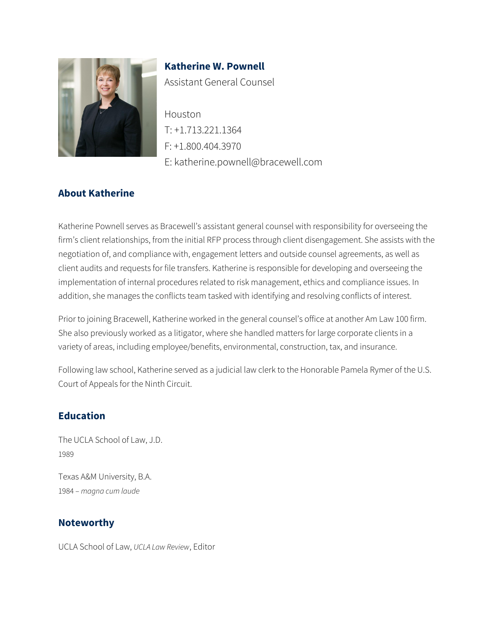

**Katherine W. Pownell** Assistant General Counsel

Houston T: +1.713.221.1364 F: +1.800.404.3970 E: katherine.pownell@bracewell.com

### **About Katherine**

Katherine Pownell serves as Bracewell's assistant general counsel with responsibility for overseeing the firm's client relationships, from the initial RFP process through client disengagement. She assists with the negotiation of, and compliance with, engagement letters and outside counsel agreements, as well as client audits and requests for file transfers. Katherine is responsible for developing and overseeing the implementation of internal procedures related to risk management, ethics and compliance issues. In addition, she manages the conflicts team tasked with identifying and resolving conflicts of interest.

Prior to joining Bracewell, Katherine worked in the general counsel's office at another Am Law 100 firm. She also previously worked as a litigator, where she handled matters for large corporate clients in a variety of areas, including employee/benefits, environmental, construction, tax, and insurance.

Following law school, Katherine served as a judicial law clerk to the Honorable Pamela Rymer of the U.S. Court of Appeals for the Ninth Circuit.

#### **Education**

The UCLA School of Law, J.D. 1989

Texas A&M University, B.A. 1984 – *magna cum laude*

#### **Noteworthy**

UCLA School of Law, *UCLA Law Review*, Editor